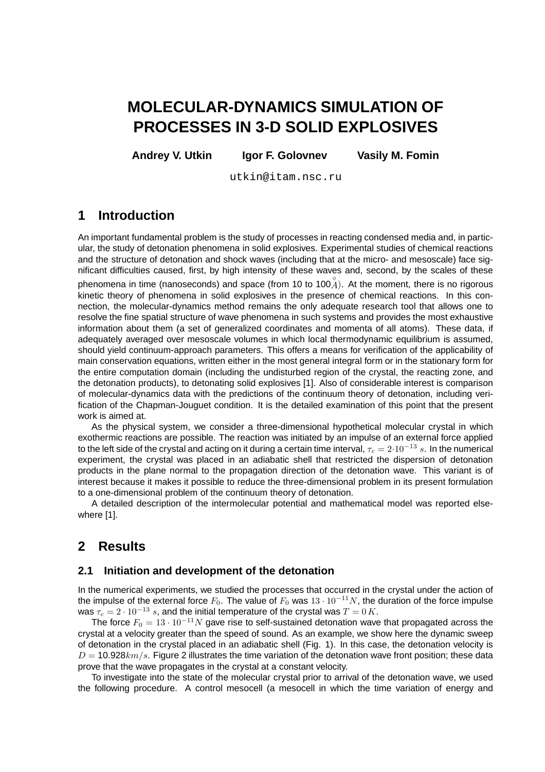# **MOLECULAR-DYNAMICS SIMULATION OF PROCESSES IN 3-D SOLID EXPLOSIVES**

**Andrey V. Utkin Igor F. Golovnev Vasily M. Fomin**

utkin@itam.nsc.ru

# **1 Introduction**

An important fundamental problem is the study of processes in reacting condensed media and, in particular, the study of detonation phenomena in solid explosives. Experimental studies of chemical reactions and the structure of detonation and shock waves (including that at the micro- and mesoscale) face significant difficulties caused, first, by high intensity of these waves and, second, by the scales of these phenomena in time (nanoseconds) and space (from 10 to 100 $A^{\circ}$ ). At the moment, there is no rigorous kinetic theory of phenomena in solid explosives in the presence of chemical reactions. In this connection, the molecular-dynamics method remains the only adequate research tool that allows one to resolve the fine spatial structure of wave phenomena in such systems and provides the most exhaustive information about them (a set of generalized coordinates and momenta of all atoms). These data, if adequately averaged over mesoscale volumes in which local thermodynamic equilibrium is assumed, should yield continuum-approach parameters. This offers a means for verification of the applicability of main conservation equations, written either in the most general integral form or in the stationary form for the entire computation domain (including the undisturbed region of the crystal, the reacting zone, and the detonation products), to detonating solid explosives [1]. Also of considerable interest is comparison of molecular-dynamics data with the predictions of the continuum theory of detonation, including verification of the Chapman-Jouguet condition. It is the detailed examination of this point that the present work is aimed at.

As the physical system, we consider a three-dimensional hypothetical molecular crystal in which exothermic reactions are possible. The reaction was initiated by an impulse of an external force applied to the left side of the crystal and acting on it during a certain time interval,  $\tau_c = 2 \cdot 10^{-13} s$ . In the numerical experiment, the crystal was placed in an adiabatic shell that restricted the dispersion of detonation products in the plane normal to the propagation direction of the detonation wave. This variant is of interest because it makes it possible to reduce the three-dimensional problem in its present formulation to a one-dimensional problem of the continuum theory of detonation.

A detailed description of the intermolecular potential and mathematical model was reported elsewhere [1].

# **2 Results**

## **2.1 Initiation and development of the detonation**

In the numerical experiments, we studied the processes that occurred in the crystal under the action of the impulse of the external force  $F_0$ . The value of  $F_0$  was  $13 \cdot 10^{-11}N$ , the duration of the force impulse was  $\tau_c = 2 \cdot 10^{-13}$  s, and the initial temperature of the crystal was  $T = 0 K$ .

The force  $F_0 = 13 \cdot 10^{-11} N$  gave rise to self-sustained detonation wave that propagated across the crystal at a velocity greater than the speed of sound. As an example, we show here the dynamic sweep of detonation in the crystal placed in an adiabatic shell (Fig. 1). In this case, the detonation velocity is  $D = 10.928 km/s$ . Figure 2 illustrates the time variation of the detonation wave front position; these data prove that the wave propagates in the crystal at a constant velocity.

To investigate into the state of the molecular crystal prior to arrival of the detonation wave, we used the following procedure. A control mesocell (a mesocell in which the time variation of energy and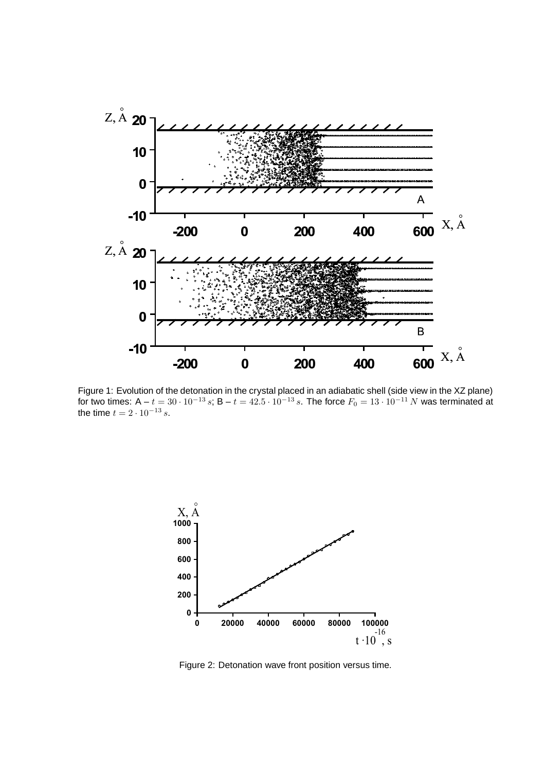

Figure 1: Evolution of the detonation in the crystal placed in an adiabatic shell (side view in the XZ plane) for two times: A –  $t = 30 \cdot 10^{-13} s$ ; B –  $t = 42.5 \cdot 10^{-13} s$ . The force  $F_0 = 13 \cdot 10^{-11} N$  was terminated at the time  $t = 2 \cdot 10^{-13} s$ .



Figure 2: Detonation wave front position versus time.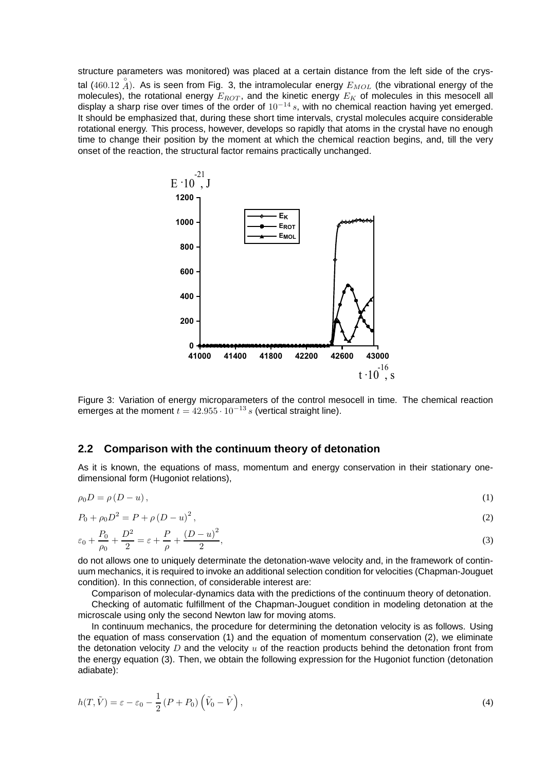structure parameters was monitored) was placed at a certain distance from the left side of the crystal  $(460.12 \n\AA)$ . As is seen from Fig. 3, the intramolecular energy  $E_{MOL}$  (the vibrational energy of the molecules), the rotational energy  $E_{ROT}$ , and the kinetic energy  $E_K$  of molecules in this mesocell all display a sharp rise over times of the order of  $10^{-14} s$ , with no chemical reaction having yet emerged. It should be emphasized that, during these short time intervals, crystal molecules acquire considerable rotational energy. This process, however, develops so rapidly that atoms in the crystal have no enough time to change their position by the moment at which the chemical reaction begins, and, till the very onset of the reaction, the structural factor remains practically unchanged.



Figure 3: Variation of energy microparameters of the control mesocell in time. The chemical reaction emerges at the moment  $t = 42.955 \cdot 10^{-13} s$  (vertical straight line).

#### **2.2 Comparison with the continuum theory of detonation**

As it is known, the equations of mass, momentum and energy conservation in their stationary onedimensional form (Hugoniot relations),

$$
\rho_0 D = \rho (D - u), \tag{1}
$$

$$
P_0 + \rho_0 D^2 = P + \rho \left( D - u \right)^2,\tag{2}
$$

$$
\varepsilon_0 + \frac{P_0}{\rho_0} + \frac{D^2}{2} = \varepsilon + \frac{P}{\rho} + \frac{(D - u)^2}{2},\tag{3}
$$

do not allows one to uniquely determinate the detonation-wave velocity and, in the framework of continuum mechanics, it is required to invoke an additional selection condition for velocities (Chapman-Jouguet condition). In this connection, of considerable interest are:

Comparison of molecular-dynamics data with the predictions of the continuum theory of detonation.

Checking of automatic fulfillment of the Chapman-Jouguet condition in modeling detonation at the microscale using only the second Newton law for moving atoms.

In continuum mechanics, the procedure for determining the detonation velocity is as follows. Using the equation of mass conservation (1) and the equation of momentum conservation (2), we eliminate the detonation velocity  $D$  and the velocity  $u$  of the reaction products behind the detonation front from the energy equation (3). Then, we obtain the following expression for the Hugoniot function (detonation adiabate):

$$
h(T, \tilde{V}) = \varepsilon - \varepsilon_0 - \frac{1}{2} (P + P_0) \left( \tilde{V}_0 - \tilde{V} \right), \tag{4}
$$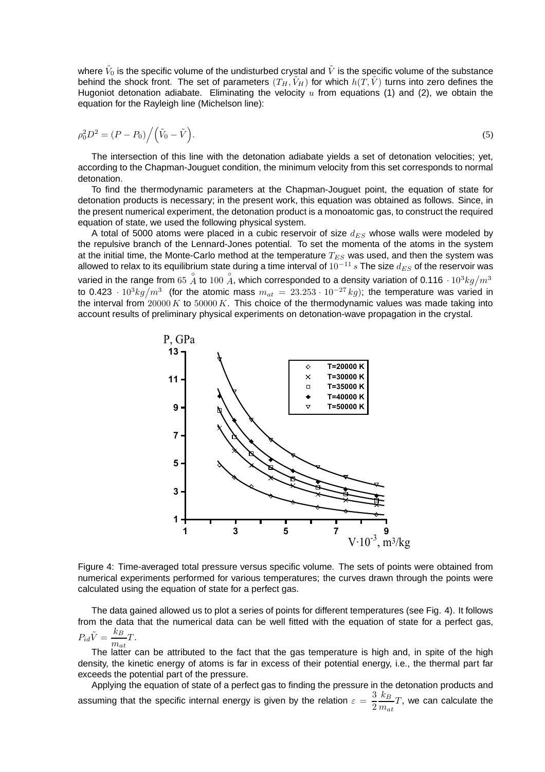where  $\tilde{V}_0$  is the specific volume of the undisturbed crystal and  $\tilde{V}$  is the specific volume of the substance behind the shock front. The set of parameters  $(T_H, \tilde{V}_H)$  for which  $h(T, \tilde{V})$  turns into zero defines the Hugoniot detonation adiabate. Eliminating the velocity  $u$  from equations (1) and (2), we obtain the equation for the Rayleigh line (Michelson line):

$$
\rho_0^2 D^2 = (P - P_0) / (\tilde{V}_0 - \tilde{V}).
$$
\n(5)

The intersection of this line with the detonation adiabate yields a set of detonation velocities; yet, according to the Chapman-Jouguet condition, the minimum velocity from this set corresponds to normal detonation.

To find the thermodynamic parameters at the Chapman-Jouguet point, the equation of state for detonation products is necessary; in the present work, this equation was obtained as follows. Since, in the present numerical experiment, the detonation product is a monoatomic gas, to construct the required equation of state, we used the following physical system.

A total of 5000 atoms were placed in a cubic reservoir of size  $d_{ES}$  whose walls were modeled by the repulsive branch of the Lennard-Jones potential. To set the momenta of the atoms in the system at the initial time, the Monte-Carlo method at the temperature  $T_{ES}$  was used, and then the system was allowed to relax to its equilibrium state during a time interval of  $10^{-11} s$  The size  $d_{ES}$  of the reservoir was varied in the range from 65  $\stackrel{\circ}{A}$  to 100  $\stackrel{\circ}{A}$ , which corresponded to a density variation of 0.116  $\cdot$  10<sup>3</sup>kg/m<sup>3</sup> to 0.423  $\cdot$   $10^3 kg/m^3$  (for the atomic mass  $m_{at}$  = 23.253  $\cdot$   $10^{-27} kg$ ); the temperature was varied in the interval from  $20000 K$  to  $50000 K$ . This choice of the thermodynamic values was made taking into account results of preliminary physical experiments on detonation-wave propagation in the crystal.



Figure 4: Time-averaged total pressure versus specific volume. The sets of points were obtained from numerical experiments performed for various temperatures; the curves drawn through the points were calculated using the equation of state for a perfect gas.

The data gained allowed us to plot a series of points for different temperatures (see Fig. 4). It follows from the data that the numerical data can be well fitted with the equation of state for a perfect gas,  $P_{id}\tilde{V} = \frac{k_B}{\sqrt{2}}$  $\frac{H_{B}}{m_{at}}T.$ 

The latter can be attributed to the fact that the gas temperature is high and, in spite of the high density, the kinetic energy of atoms is far in excess of their potential energy, i.e., the thermal part far exceeds the potential part of the pressure.

Applying the equation of state of a perfect gas to finding the pressure in the detonation products and assuming that the specific internal energy is given by the relation  $\varepsilon = \frac{3}{2}$ 2  $k_B$  $\frac{n_B}{m_{at}}T$ , we can calculate the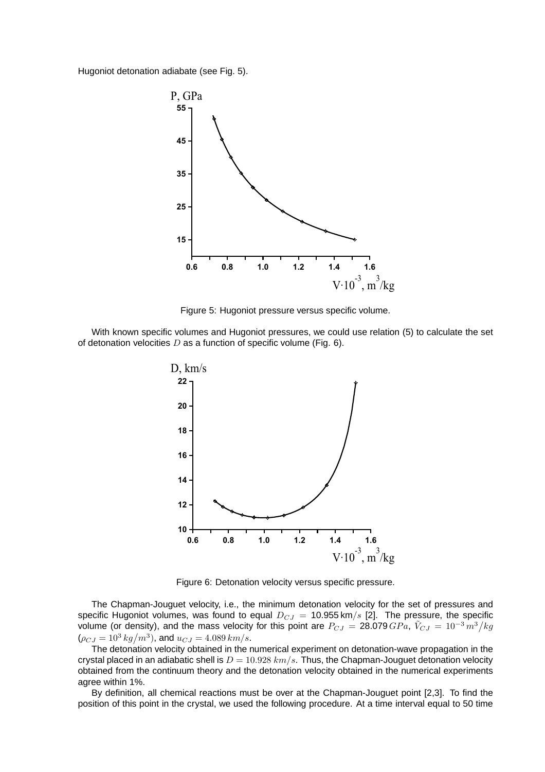Hugoniot detonation adiabate (see Fig. 5).



Figure 5: Hugoniot pressure versus specific volume.

With known specific volumes and Hugoniot pressures, we could use relation (5) to calculate the set of detonation velocities  $D$  as a function of specific volume (Fig. 6).



Figure 6: Detonation velocity versus specific pressure.

The Chapman-Jouguet velocity, i.e., the minimum detonation velocity for the set of pressures and specific Hugoniot volumes, was found to equal  $D_{CJ} = 10.955 \text{ km/s}$  [2]. The pressure, the specific volume (or density), and the mass velocity for this point are  $P_{CJ} = 28.079 \, GPa$ ,  $\tilde{V}_{CJ} = 10^{-3} \, m^3/kg$  $(\rho_{CJ} = 10^3 \text{ kg/m}^3)$ , and  $u_{CJ} = 4.089 \text{ km/s}$ .

The detonation velocity obtained in the numerical experiment on detonation-wave propagation in the crystal placed in an adiabatic shell is  $D = 10.928$  km/s. Thus, the Chapman-Jouguet detonation velocity obtained from the continuum theory and the detonation velocity obtained in the numerical experiments agree within 1%.

By definition, all chemical reactions must be over at the Chapman-Jouguet point [2,3]. To find the position of this point in the crystal, we used the following procedure. At a time interval equal to 50 time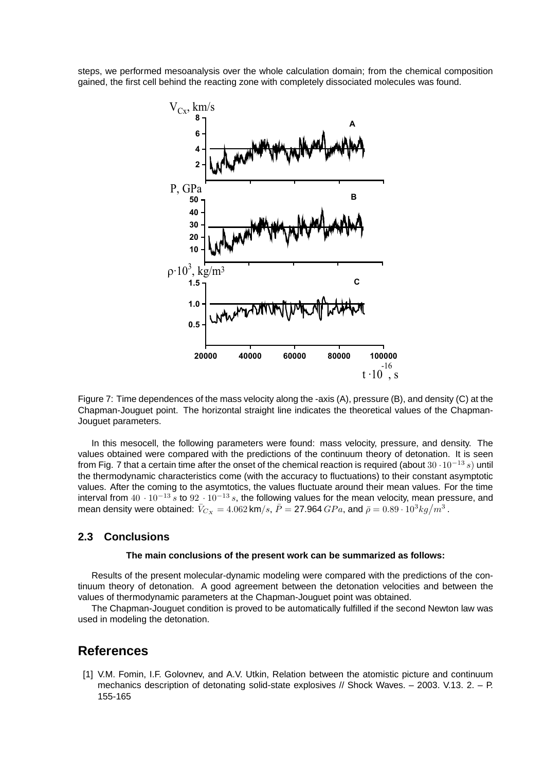steps, we performed mesoanalysis over the whole calculation domain; from the chemical composition gained, the first cell behind the reacting zone with completely dissociated molecules was found.



Figure 7: Time dependences of the mass velocity along the -axis (A), pressure (B), and density (C) at the Chapman-Jouguet point. The horizontal straight line indicates the theoretical values of the Chapman-Jouguet parameters.

In this mesocell, the following parameters were found: mass velocity, pressure, and density. The values obtained were compared with the predictions of the continuum theory of detonation. It is seen from Fig. 7 that a certain time after the onset of the chemical reaction is required (about 30 ·10<sup>−</sup><sup>13</sup> s) until the thermodynamic characteristics come (with the accuracy to fluctuations) to their constant asymptotic values. After the coming to the asymtotics, the values fluctuate around their mean values. For the time interval from  $40 \cdot 10^{-13}$  s to  $92 \cdot 10^{-13}$  s, the following values for the mean velocity, mean pressure, and mean density were obtained:  $\bar{V}_{Cx} = 4.062$  km/s,  $\bar{P} = 27.964$   $GPa$ , and  $\bar{\rho} = 0.89 \cdot 10^3 {kg/m^3}$  .

### **2.3 Conclusions**

#### **The main conclusions of the present work can be summarized as follows:**

Results of the present molecular-dynamic modeling were compared with the predictions of the continuum theory of detonation. A good agreement between the detonation velocities and between the values of thermodynamic parameters at the Chapman-Jouguet point was obtained.

The Chapman-Jouguet condition is proved to be automatically fulfilled if the second Newton law was used in modeling the detonation.

## **References**

[1] V.M. Fomin, I.F. Golovnev, and A.V. Utkin, Relation between the atomistic picture and continuum mechanics description of detonating solid-state explosives // Shock Waves. – 2003. V.13. 2. – P. 155-165